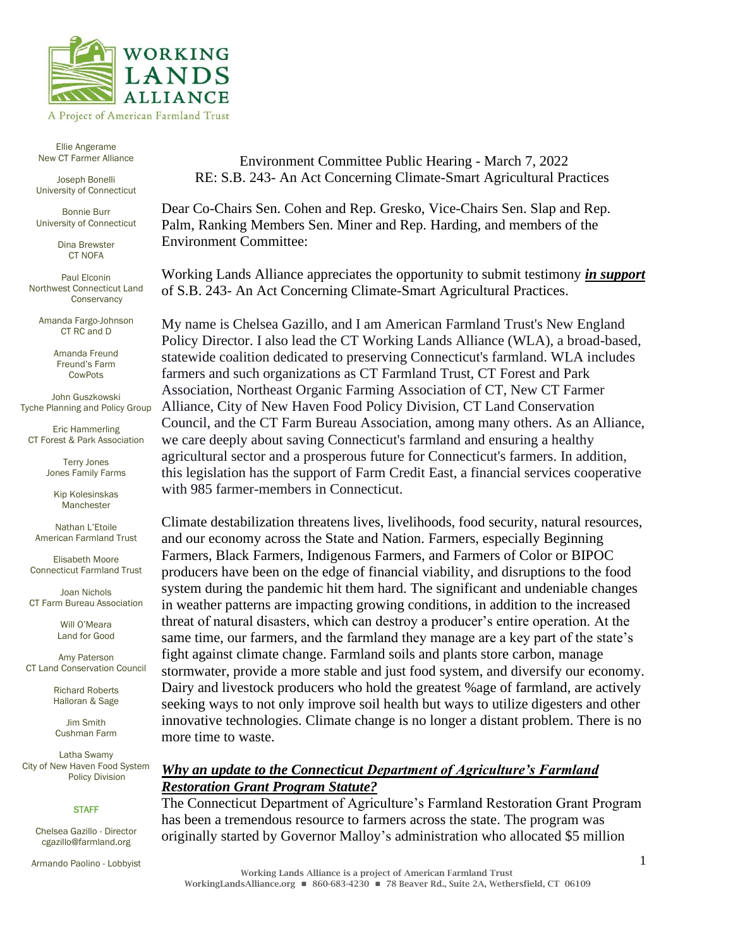

STEERING COMMITTEE

Joseph Bonelli University of Connecticut

Bonnie Burr University of Connecticut

> Dina Brewster CT NOFA

Paul Elconin Northwest Connecticut Land **Conservancy** 

Amanda Fargo-Johnson CT RC and D

> Amanda Freund Freund's Farm CowPots

John Guszkowski Tyche Planning and Policy Group

Eric Hammerling CT Forest & Park Association

> Terry Jones Jones Family Farms

Kip Kolesinskas Manchester

Nathan L'Etoile American Farmland Trust

Elisabeth Moore Connecticut Farmland Trust

Joan Nichols CT Farm Bureau Association

> Will O'Meara Land for Good

Amy Paterson CT Land Conservation Council

> Richard Roberts Halloran & Sage

Jim Smith Cushman Farm

Latha Swamy City of New Haven Food System Policy Division

### **STAFF**

Chelsea Gazillo - Director cgazillo@farmland.org

Armando Paolino - Lobbyist

Environment Committee Public Hearing - March 7, 2022 RE: S.B. 243- An Act Concerning Climate-Smart Agricultural Practices

Dear Co-Chairs Sen. Cohen and Rep. Gresko, Vice-Chairs Sen. Slap and Rep. Palm, Ranking Members Sen. Miner and Rep. Harding, and members of the Environment Committee:

Working Lands Alliance appreciates the opportunity to submit testimony *in support*  of S.B. 243- An Act Concerning Climate-Smart Agricultural Practices.

My name is Chelsea Gazillo, and I am American Farmland Trust's New England Policy Director. I also lead the CT Working Lands Alliance (WLA), a broad-based, statewide coalition dedicated to preserving Connecticut's farmland. WLA includes farmers and such organizations as CT Farmland Trust, CT Forest and Park Association, Northeast Organic Farming Association of CT, New CT Farmer Alliance, City of New Haven Food Policy Division, CT Land Conservation Council, and the CT Farm Bureau Association, among many others. As an Alliance, we care deeply about saving Connecticut's farmland and ensuring a healthy agricultural sector and a prosperous future for Connecticut's farmers. In addition, this legislation has the support of Farm Credit East, a financial services cooperative with 985 farmer-members in Connecticut.

Climate destabilization threatens lives, livelihoods, food security, natural resources, and our economy across the State and Nation. Farmers, especially Beginning Farmers, Black Farmers, Indigenous Farmers, and Farmers of Color or BIPOC producers have been on the edge of financial viability, and disruptions to the food system during the pandemic hit them hard. The significant and undeniable changes in weather patterns are impacting growing conditions, in addition to the increased threat of natural disasters, which can destroy a producer's entire operation. At the same time, our farmers, and the farmland they manage are a key part of the state's fight against climate change. Farmland soils and plants store carbon, manage stormwater, provide a more stable and just food system, and diversify our economy. Dairy and livestock producers who hold the greatest %age of farmland, are actively seeking ways to not only improve soil health but ways to utilize digesters and other innovative technologies. Climate change is no longer a distant problem. There is no more time to waste.

# *Why an update to the Connecticut Department of Agriculture's Farmland Restoration Grant Program Statute?*

The Connecticut Department of Agriculture's Farmland Restoration Grant Program has been a tremendous resource to farmers across the state. The program was originally started by Governor Malloy's administration who allocated \$5 million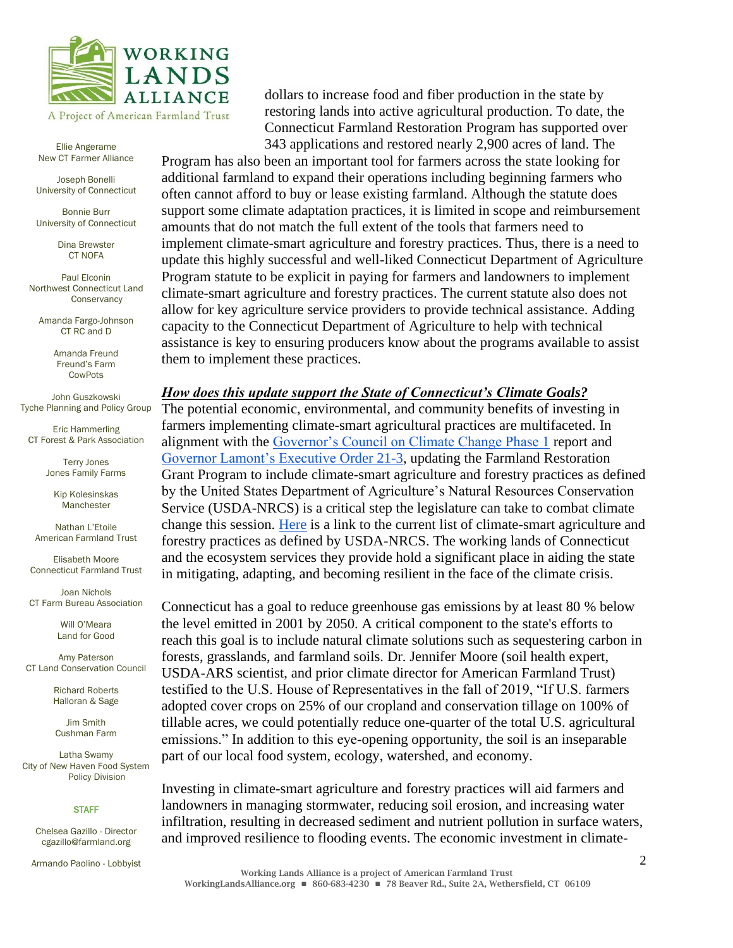

STEERING COMMITTEE

Joseph Bonelli University of Connecticut

Bonnie Burr University of Connecticut

> Dina Brewster CT NOFA

Paul Elconin Northwest Connecticut Land **Conservancy** 

Amanda Fargo-Johnson CT RC and D

> Amanda Freund Freund's Farm CowPots

John Guszkowski Tyche Planning and Policy Group

Eric Hammerling CT Forest & Park Association

> Terry Jones Jones Family Farms

Kip Kolesinskas Manchester

Nathan L'Etoile American Farmland Trust

Elisabeth Moore Connecticut Farmland Trust

Joan Nichols CT Farm Bureau Association

> Will O'Meara Land for Good

Amy Paterson CT Land Conservation Council

> Richard Roberts Halloran & Sage

Jim Smith Cushman Farm

Latha Swamy City of New Haven Food System Policy Division

### **STAFF**

Chelsea Gazillo - Director cgazillo@farmland.org

Armando Paolino - Lobbyist

dollars to increase food and fiber production in the state by restoring lands into active agricultural production. To date, the Connecticut Farmland Restoration Program has supported over 343 applications and restored nearly 2,900 acres of land. The

Program has also been an important tool for farmers across the state looking for additional farmland to expand their operations including beginning farmers who often cannot afford to buy or lease existing farmland. Although the statute does support some climate adaptation practices, it is limited in scope and reimbursement amounts that do not match the full extent of the tools that farmers need to implement climate-smart agriculture and forestry practices. Thus, there is a need to update this highly successful and well-liked Connecticut Department of Agriculture Program statute to be explicit in paying for farmers and landowners to implement climate-smart agriculture and forestry practices. The current statute also does not allow for key agriculture service providers to provide technical assistance. Adding capacity to the Connecticut Department of Agriculture to help with technical assistance is key to ensuring producers know about the programs available to assist them to implement these practices.

## *How does this update support the State of Connecticut's Climate Goals?*

The potential economic, environmental, and community benefits of investing in farmers implementing climate-smart agricultural practices are multifaceted. In alignment with the [Governor's Council on Climate Change Phase 1](https://portal.ct.gov/-/media/DEEP/climatechange/GC3/GC3_Phase1_Report_Jan2021.pdf) report and [Governor Lamont's Executive Order 21-3,](https://portal.ct.gov/-/media/Office-of-the-Governor/Executive-Orders/Lamont-Executive-Orders/Executive-Order-No-21-3.pdf) updating the Farmland Restoration Grant Program to include climate-smart agriculture and forestry practices as defined by the United States Department of Agriculture's Natural Resources Conservation Service (USDA-NRCS) is a critical step the legislature can take to combat climate change this session. [Here](https://directives.sc.egov.usda.gov/OpenNonWebContent.aspx?content=47510.wba) is a link to the current list of climate-smart agriculture and forestry practices as defined by USDA-NRCS. The working lands of Connecticut and the ecosystem services they provide hold a significant place in aiding the state in mitigating, adapting, and becoming resilient in the face of the climate crisis.

Connecticut has a goal to reduce greenhouse gas emissions by at least 80 % below the level emitted in 2001 by 2050. A critical component to the state's efforts to reach this goal is to include natural climate solutions such as sequestering carbon in forests, grasslands, and farmland soils. Dr. Jennifer Moore (soil health expert, USDA-ARS scientist, and prior climate director for American Farmland Trust) testified to the U.S. House of Representatives in the fall of 2019, "If U.S. farmers adopted cover crops on 25% of our cropland and conservation tillage on 100% of tillable acres, we could potentially reduce one-quarter of the total U.S. agricultural emissions." In addition to this eye-opening opportunity, the soil is an inseparable part of our local food system, ecology, watershed, and economy.

Investing in climate-smart agriculture and forestry practices will aid farmers and landowners in managing stormwater, reducing soil erosion, and increasing water infiltration, resulting in decreased sediment and nutrient pollution in surface waters, and improved resilience to flooding events. The economic investment in climate-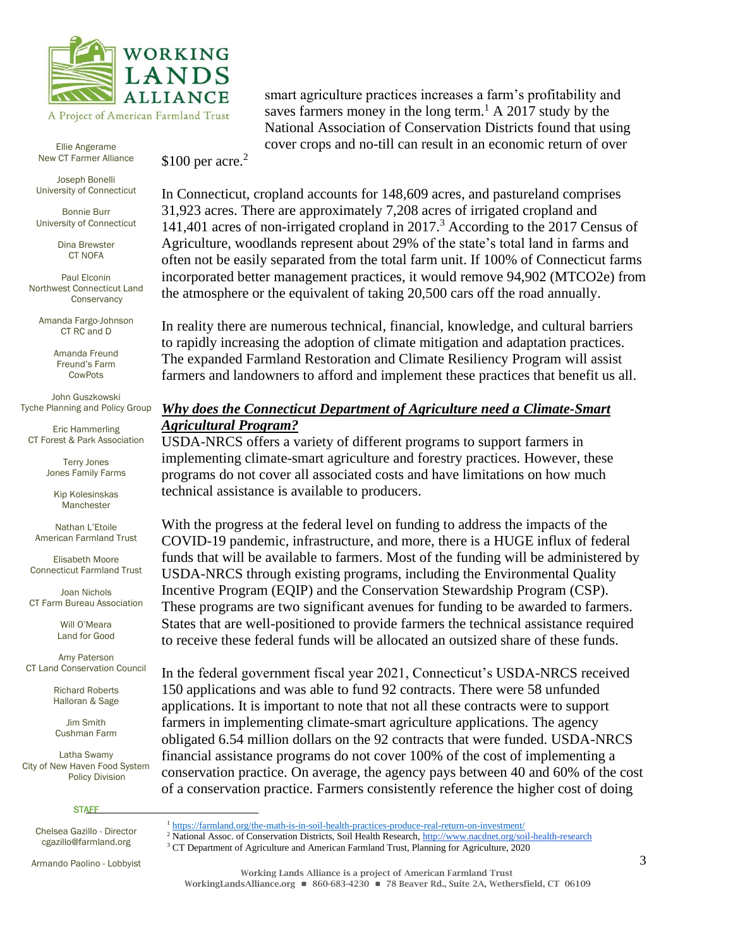

 $$100$  per acre.<sup>2</sup>

Ellie Angerame New CT Farmer Alliance

STEERING COMMITTEE

Joseph Bonelli University of Connecticut

Bonnie Burr University of Connecticut

> Dina Brewster CT NOFA

Paul Elconin Northwest Connecticut Land **Conservancy** 

Amanda Fargo-Johnson CT RC and D

> Amanda Freund Freund's Farm CowPots

John Guszkowski Tyche Planning and Policy Group

Eric Hammerling CT Forest & Park Association

> Terry Jones Jones Family Farms

Kip Kolesinskas Manchester

Nathan L'Etoile American Farmland Trust

Elisabeth Moore Connecticut Farmland Trust

Joan Nichols CT Farm Bureau Association

> Will O'Meara Land for Good

Amy Paterson CT Land Conservation Council

> Richard Roberts Halloran & Sage

Jim Smith Cushman Farm

Latha Swamy City of New Haven Food System Policy Division

#### **STAFF**

Chelsea Gazillo - Director cgazillo@farmland.org

Armando Paolino - Lobbyist

smart agriculture practices increases a farm's profitability and saves farmers money in the long term.<sup>1</sup> A 2017 study by the National Association of Conservation Districts found that using cover crops and no-till can result in an economic return of over

In Connecticut, cropland accounts for 148,609 acres, and pastureland comprises 31,923 acres. There are approximately 7,208 acres of irrigated cropland and 141,401 acres of non-irrigated cropland in 2017.<sup>3</sup> According to the 2017 Census of Agriculture, woodlands represent about 29% of the state's total land in farms and often not be easily separated from the total farm unit. If 100% of Connecticut farms incorporated better management practices, it would remove 94,902 (MTCO2e) from the atmosphere or the equivalent of taking 20,500 cars off the road annually.

In reality there are numerous technical, financial, knowledge, and cultural barriers to rapidly increasing the adoption of climate mitigation and adaptation practices. The expanded Farmland Restoration and Climate Resiliency Program will assist farmers and landowners to afford and implement these practices that benefit us all.

# *Why does the Connecticut Department of Agriculture need a Climate-Smart Agricultural Program?*

USDA-NRCS offers a variety of different programs to support farmers in implementing climate-smart agriculture and forestry practices. However, these programs do not cover all associated costs and have limitations on how much technical assistance is available to producers.

With the progress at the federal level on funding to address the impacts of the COVID-19 pandemic, infrastructure, and more, there is a HUGE influx of federal funds that will be available to farmers. Most of the funding will be administered by USDA-NRCS through existing programs, including the Environmental Quality Incentive Program (EQIP) and the Conservation Stewardship Program (CSP). These programs are two significant avenues for funding to be awarded to farmers. States that are well-positioned to provide farmers the technical assistance required to receive these federal funds will be allocated an outsized share of these funds.

In the federal government fiscal year 2021, Connecticut's USDA-NRCS received 150 applications and was able to fund 92 contracts. There were 58 unfunded applications. It is important to note that not all these contracts were to support farmers in implementing climate-smart agriculture applications. The agency obligated 6.54 million dollars on the 92 contracts that were funded. USDA-NRCS financial assistance programs do not cover 100% of the cost of implementing a conservation practice. On average, the agency pays between 40 and 60% of the cost of a conservation practice. Farmers consistently reference the higher cost of doing

<sup>1</sup> <https://farmland.org/the-math-is-in-soil-health-practices-produce-real-return-on-investment/>

<sup>2</sup> National Assoc. of Conservation Districts, Soil Health Research[, http://www.nacdnet.org/soil-health-research](http://www.nacdnet.org/soil-health-research) <sup>3</sup> CT Department of Agriculture and American Farmland Trust, Planning for Agriculture, 2020

Working Lands Alliance is a project of American Farmland Trust WorkingLandsAlliance.org • 860-683-4230 • 78 Beaver Rd., Suite 2A, Wethersfield, CT 06109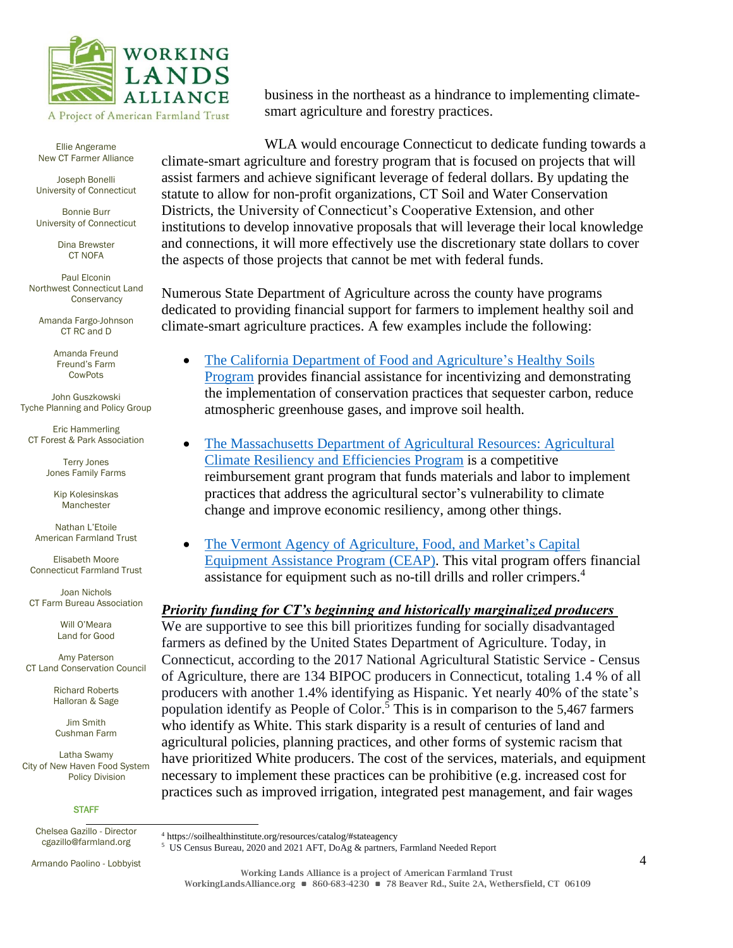

STEERING COMMITTEE

Joseph Bonelli University of Connecticut

Bonnie Burr University of Connecticut

> Dina Brewster CT NOFA

Paul Elconin Northwest Connecticut Land **Conservancy** 

Amanda Fargo-Johnson CT RC and D

> Amanda Freund Freund's Farm CowPots

John Guszkowski Tyche Planning and Policy Group

Eric Hammerling CT Forest & Park Association

> Terry Jones Jones Family Farms

Kip Kolesinskas Manchester

Nathan L'Etoile American Farmland Trust

Elisabeth Moore Connecticut Farmland Trust

Joan Nichols CT Farm Bureau Association

> Will O'Meara Land for Good

Amy Paterson CT Land Conservation Council

> Richard Roberts Halloran & Sage

Jim Smith Cushman Farm

Latha Swamy City of New Haven Food System Policy Division

### **STAFF**

Chelsea Gazillo - Director cgazillo@farmland.org

Armando Paolino - Lobbyist

business in the northeast as a hindrance to implementing climatesmart agriculture and forestry practices.

WLA would encourage Connecticut to dedicate funding towards a climate-smart agriculture and forestry program that is focused on projects that will assist farmers and achieve significant leverage of federal dollars. By updating the statute to allow for non-profit organizations, CT Soil and Water Conservation Districts, the University of Connecticut's Cooperative Extension, and other institutions to develop innovative proposals that will leverage their local knowledge and connections, it will more effectively use the discretionary state dollars to cover the aspects of those projects that cannot be met with federal funds.

Numerous State Department of Agriculture across the county have programs dedicated to providing financial support for farmers to implement healthy soil and climate-smart agriculture practices. A few examples include the following:

- [The California Department of Food and Agriculture's](https://www.cdfa.ca.gov/oefi/healthysoils/) Healthy Soils [Program](https://www.cdfa.ca.gov/oefi/healthysoils/) provides financial assistance for incentivizing and demonstrating the implementation of conservation practices that sequester carbon, reduce atmospheric greenhouse gases, and improve soil health.
- The Massachusetts Department of Agricultural Resources: Agricultural [Climate Resiliency and Efficiencies](https://www.mass.gov/service-details/agricultural-climate-resiliency-efficiencies-acre-program) Program is a competitive reimbursement grant program that funds materials and labor to implement practices that address the agricultural sector's vulnerability to climate change and improve economic resiliency, among other things.
	- [The Vermont Agency of Agriculture, Food, and Market's](https://agriculture.vermont.gov/ceap) [Capital](https://agriculture.vermont.gov/ceap)  [Equipment Assistance Program](https://agriculture.vermont.gov/ceap) (CEAP). This vital program offers financial assistance for equipment such as no-till drills and roller crimpers.<sup>4</sup>

# *Priority funding for CT's beginning and historically marginalized producers*

We are supportive to see this bill prioritizes funding for socially disadvantaged farmers as defined by the United States Department of Agriculture. Today, in Connecticut, according to the 2017 National Agricultural Statistic Service - Census of Agriculture, there are 134 BIPOC producers in Connecticut, totaling 1.4 % of all producers with another 1.4% identifying as Hispanic. Yet nearly 40% of the state's population identify as People of Color.<sup>5</sup> This is in comparison to the 5,467 farmers who identify as White. This stark disparity is a result of centuries of land and agricultural policies, planning practices, and other forms of systemic racism that have prioritized White producers. The cost of the services, materials, and equipment necessary to implement these practices can be prohibitive (e.g. increased cost for practices such as improved irrigation, integrated pest management, and fair wages

<sup>5</sup> US Census Bureau, 2020 and 2021 AFT, DoAg & partners, Farmland Needed Report

<sup>4</sup> https://soilhealthinstitute.org/resources/catalog/#stateagency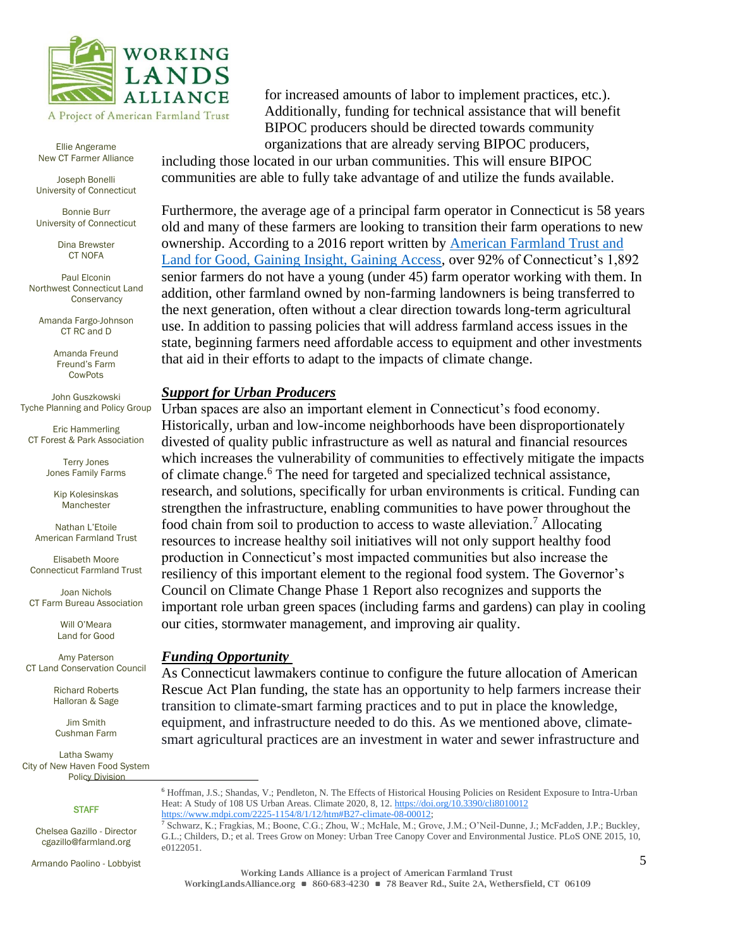

STEERING COMMITTEE

Joseph Bonelli University of Connecticut

Bonnie Burr University of Connecticut

> Dina Brewster CT NOFA

Paul Elconin Northwest Connecticut Land **Conservancy** 

Amanda Fargo-Johnson CT RC and D

> Amanda Freund Freund's Farm CowPots

John Guszkowski Tyche Planning and Policy Group

Eric Hammerling CT Forest & Park Association

> Terry Jones Jones Family Farms

Kip Kolesinskas Manchester

Nathan L'Etoile American Farmland Trust

Elisabeth Moore Connecticut Farmland Trust

Joan Nichols CT Farm Bureau Association

> Will O'Meara Land for Good

Amy Paterson CT Land Conservation Council

> Richard Roberts Halloran & Sage

Jim Smith Cushman Farm

Latha Swamy City of New Haven Food System Policy Division

### **STAFF**

Chelsea Gazillo - Director cgazillo@farmland.org

Armando Paolino - Lobbyist

for increased amounts of labor to implement practices, etc.). Additionally, funding for technical assistance that will benefit BIPOC producers should be directed towards community organizations that are already serving BIPOC producers,

including those located in our urban communities. This will ensure BIPOC communities are able to fully take advantage of and utilize the funds available.

Furthermore, the average age of a principal farm operator in Connecticut is 58 years old and many of these farmers are looking to transition their farm operations to new ownership. According to a 2016 report written by [American Farmland Trust and](https://landforgood.org/wp-content/uploads/Connecticut-Gaining-Insights-AFT-LFG.pdf)  [Land for Good, Gaining Insight, Gaining Access,](https://landforgood.org/wp-content/uploads/Connecticut-Gaining-Insights-AFT-LFG.pdf) over 92% of Connecticut's 1,892 senior farmers do not have a young (under 45) farm operator working with them. In addition, other farmland owned by non-farming landowners is being transferred to the next generation, often without a clear direction towards long-term agricultural use. In addition to passing policies that will address farmland access issues in the state, beginning farmers need affordable access to equipment and other investments that aid in their efforts to adapt to the impacts of climate change.

## *Support for Urban Producers*

Urban spaces are also an important element in Connecticut's food economy. Historically, urban and low-income neighborhoods have been disproportionately divested of quality public infrastructure as well as natural and financial resources which increases the vulnerability of communities to effectively mitigate the impacts of climate change.<sup>6</sup> The need for targeted and specialized technical assistance, research, and solutions, specifically for urban environments is critical. Funding can strengthen the infrastructure, enabling communities to have power throughout the food chain from soil to production to access to waste alleviation.<sup>7</sup> Allocating resources to increase healthy soil initiatives will not only support healthy food production in Connecticut's most impacted communities but also increase the resiliency of this important element to the regional food system. The Governor's Council on Climate Change Phase 1 Report also recognizes and supports the important role urban green spaces (including farms and gardens) can play in cooling our cities, stormwater management, and improving air quality.

### *Funding Opportunity*

As Connecticut lawmakers continue to configure the future allocation of American Rescue Act Plan funding, the state has an opportunity to help farmers increase their transition to climate-smart farming practices and to put in place the knowledge, equipment, and infrastructure needed to do this. As we mentioned above, climatesmart agricultural practices are an investment in water and sewer infrastructure and

<sup>6</sup> Hoffman, J.S.; Shandas, V.; Pendleton, N. The Effects of Historical Housing Policies on Resident Exposure to Intra-Urban Heat: A Study of 108 US Urban Areas. Climate 2020, 8, 12[. https://doi.org/10.3390/cli8010012](https://doi.org/10.3390/cli8010012) [https://www.mdpi.com/2225-1154/8/1/12/htm#B27-climate-08-00012;](https://www.mdpi.com/2225-1154/8/1/12/htm#B27-climate-08-00012)

<sup>7</sup> Schwarz, K.; Fragkias, M.; Boone, C.G.; Zhou, W.; McHale, M.; Grove, J.M.; O'Neil-Dunne, J.; McFadden, J.P.; Buckley, G.L.; Childers, D.; et al. Trees Grow on Money: Urban Tree Canopy Cover and Environmental Justice. PLoS ONE 2015, 10, e0122051.